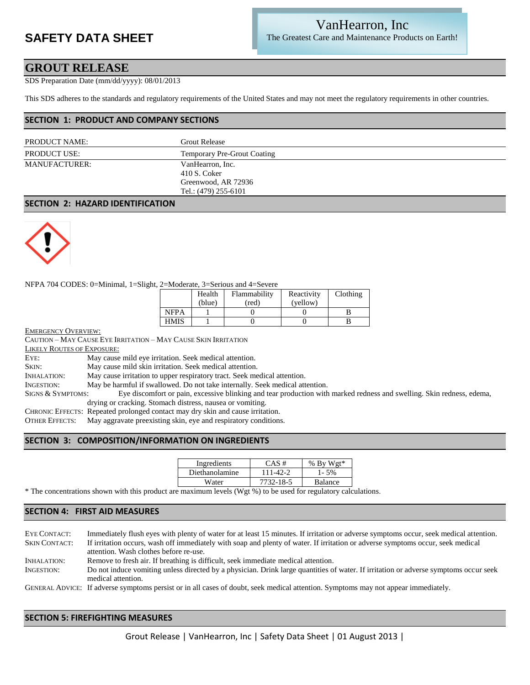# **SAFETY DATA SHEET**

## VanHearron, Inc The Greatest Care and Maintenance Products on Earth!

## **GROUT RELEASE**

SDS Preparation Date (mm/dd/yyyy): 08/01/2013

This SDS adheres to the standards and regulatory requirements of the United States and may not meet the regulatory requirements in other countries.

### **SECTION 1: PRODUCT AND COMPANY SECTIONS**

| Grout Release                                                                   |  |
|---------------------------------------------------------------------------------|--|
| <b>Temporary Pre-Grout Coating</b>                                              |  |
| VanHearron, Inc.<br>410 S. Coker<br>Greenwood, AR 72936<br>Tel.: (479) 255-6101 |  |
|                                                                                 |  |

#### **SECTION 2: HAZARD IDENTIFICATION**



#### NFPA 704 CODES: 0=Minimal, 1=Slight, 2=Moderate, 3=Serious and 4=Severe

|             | Health | Flammability | Reactivity | Clothing |
|-------------|--------|--------------|------------|----------|
|             | (blue) | (red)        | (yellow)   |          |
| <b>NFPA</b> |        |              |            |          |
| <b>HMIS</b> |        |              |            |          |

EMERGENCY OVERVIEW:

CAUTION – MAY CAUSE EYE IRRITATION – MAY CAUSE SKIN IRRITATION LIKELY ROUTES OF EXPOSURE: EYE: May cause mild eye irritation. Seek medical attention. SKIN: May cause mild skin irritation. Seek medical attention. INHALATION: May cause irritation to upper respiratory tract. Seek medical attention. INGESTION: May be harmful if swallowed. Do not take internally. Seek medical attention. SIGNS & SYMPTOMS: Eye discomfort or pain, excessive blinking and tear production with marked redness and swelling. Skin redness, edema, drying or cracking. Stomach distress, nausea or vomiting. CHRONIC EFFECTS: Repeated prolonged contact may dry skin and cause irritation. OTHER EFFECTS: May aggravate preexisting skin, eye and respiratory conditions.

### **SECTION 3: COMPOSITION/INFORMATION ON INGREDIENTS**

| Ingredients    | $CAS \#$  | % By Wgt* |
|----------------|-----------|-----------|
| Diethanolamine | 111-42-2  | 1-5%      |
| Water          | 7732-18-5 | Balance   |
|                |           |           |

\* The concentrations shown with this product are maximum levels (Wgt %) to be used for regulatory calculations.

### **SECTION 4: FIRST AID MEASURES**

EYE CONTACT: Immediately flush eyes with plenty of water for at least 15 minutes. If irritation or adverse symptoms occur, seek medical attention. SKIN CONTACT: If irritation occurs, wash off immediately with soap and plenty of water. If irritation or adverse symptoms occur, seek medical attention. Wash clothes before re-use. INHALATION: Remove to fresh air. If breathing is difficult, seek immediate medical attention. INGESTION: Do not induce vomiting unless directed by a physician. Drink large quantities of water. If irritation or adverse symptoms occur seek medical attention.

GENERAL ADVICE: If adverse symptoms persist or in all cases of doubt, seek medical attention. Symptoms may not appear immediately.

### **SECTION 5: FIREFIGHTING MEASURES**

Grout Release | VanHearron, Inc | Safety Data Sheet | 01 August 2013 |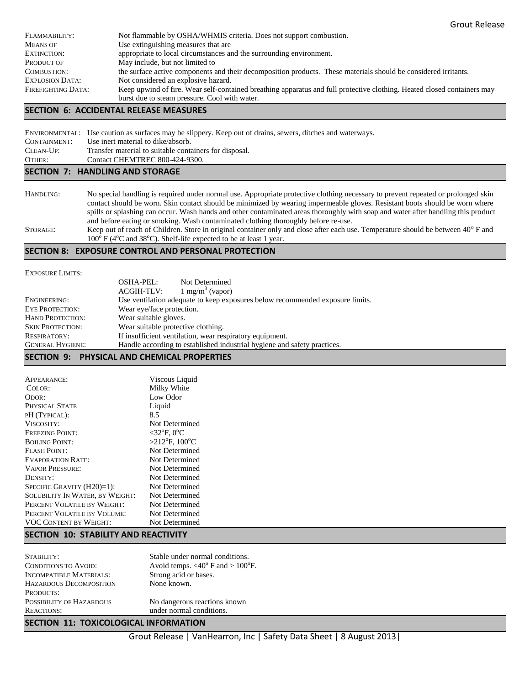| FLAMMABILITY:          | Not flammable by OSHA/WHMIS criteria. Does not support combustion.                                                      |
|------------------------|-------------------------------------------------------------------------------------------------------------------------|
| <b>MEANS OF</b>        | Use extinguishing measures that are                                                                                     |
| EXTINCTION:            | appropriate to local circumstances and the surrounding environment.                                                     |
| PRODUCT OF             | May include, but not limited to                                                                                         |
| COMBUSTION:            | the surface active components and their decomposition products. These materials should be considered irritants.         |
| <b>EXPLOSION DATA:</b> | Not considered an explosive hazard.                                                                                     |
| FIREFIGHTING DATA:     | Keep upwind of fire. Wear self-contained breathing apparatus and full protective clothing. Heated closed containers may |
|                        | burst due to steam pressure. Cool with water.                                                                           |

#### **SECTION 6: ACCIDENTAL RELEASE MEASURES**

|                                 | ENVIRONMENTAL: Use caution as surfaces may be slippery. Keep out of drains, sewers, ditches and waterways. |  |
|---------------------------------|------------------------------------------------------------------------------------------------------------|--|
| CONTAINMENT:                    | Use inert material to dike/absorb.                                                                         |  |
| CLEAN-UP:                       | Transfer material to suitable containers for disposal.                                                     |  |
| OTHER:                          | Contact CHEMTREC 800-424-9300.                                                                             |  |
| SECTION 7: HANDLING AND STORAGE |                                                                                                            |  |

HANDLING: No special handling is required under normal use. Appropriate protective clothing necessary to prevent repeated or prolonged skin contact should be worn. Skin contact should be minimized by wearing impermeable gloves. Resistant boots should be worn where spills or splashing can occur. Wash hands and other contaminated areas thoroughly with soap and water after handling this product and before eating or smoking. Wash contaminated clothing thoroughly before re-use.

STORAGE: Keep out of reach of Children. Store in original container only and close after each use. Temperature should be between  $40^{\circ}$  F and  $100^{\circ}$  F (4°C and 38°C). Shelf-life expected to be at least 1 year.

#### **SECTION 8: EXPOSURE CONTROL AND PERSONAL PROTECTION**

EXPOSURE LIMITS:

|                         | <b>OSHA-PEL:</b>                   | Not Determined                                                                |
|-------------------------|------------------------------------|-------------------------------------------------------------------------------|
|                         | ACGIH-TLV:                         | $1 \text{ mg/m}^3$ (vapor)                                                    |
| ENGINEERING:            |                                    | Use ventilation adequate to keep exposures below recommended exposure limits. |
| <b>EYE PROTECTION:</b>  | Wear eye/face protection.          |                                                                               |
| <b>HAND PROTECTION:</b> | Wear suitable gloves.              |                                                                               |
| <b>SKIN PROTECTION:</b> | Wear suitable protective clothing. |                                                                               |
| <b>RESPIRATORY:</b>     |                                    | If insufficient ventilation, wear respiratory equipment.                      |
| <b>GENERAL HYGIENE:</b> |                                    | Handle according to established industrial hygiene and safety practices.      |

## **SECTION 9: PHYSICAL AND CHEMICAL PROPERTIES**

| <b>APPEARANCE:</b>                     | Viscous Liquid                        |
|----------------------------------------|---------------------------------------|
| COLOR:                                 | Milky White                           |
| ODOR:                                  | Low Odor                              |
| PHYSICAL STATE                         | Liquid                                |
| PH (TYPICAL):                          | 8.5                                   |
| <b>VISCOSITY:</b>                      | Not Determined                        |
| <b>FREEZING POINT:</b>                 | $<$ 32 $\mathrm{P}$ F, 0 $\mathrm{C}$ |
| <b>BOILING POINT:</b>                  | $>212$ °F, 100°C                      |
| <b>FLASH POINT:</b>                    | Not Determined                        |
| EVAPORATION RATE:                      | Not Determined                        |
| <b>VAPOR PRESSURE:</b>                 | Not Determined                        |
| DENSITY:                               | Not Determined                        |
| SPECIFIC GRAVITY $(H20)=1$ :           | Not Determined                        |
| <b>SOLUBILITY IN WATER, BY WEIGHT:</b> | Not Determined                        |
| PERCENT VOLATILE BY WEIGHT:            | Not Determined                        |
| PERCENT VOLATILE BY VOLUME:            | Not Determined                        |
| <b>VOC CONTENT BY WEIGHT:</b>          | Not Determined                        |

#### **SECTION 10: STABILITY AND REACTIVITY**

| STABILITY:                     | Stable under normal conditions.                    |
|--------------------------------|----------------------------------------------------|
| <b>CONDITIONS TO AVOID:</b>    | Avoid temps. $<40^{\circ}$ F and $>100^{\circ}$ F. |
| <b>INCOMPATIBLE MATERIALS:</b> | Strong acid or bases.                              |
| <b>HAZARDOUS DECOMPOSITION</b> | None known.                                        |
| PRODUCTS:                      |                                                    |
| POSSIBILITY OF HAZARDOUS       | No dangerous reactions known                       |
| <b>REACTIONS:</b>              | under normal conditions.                           |